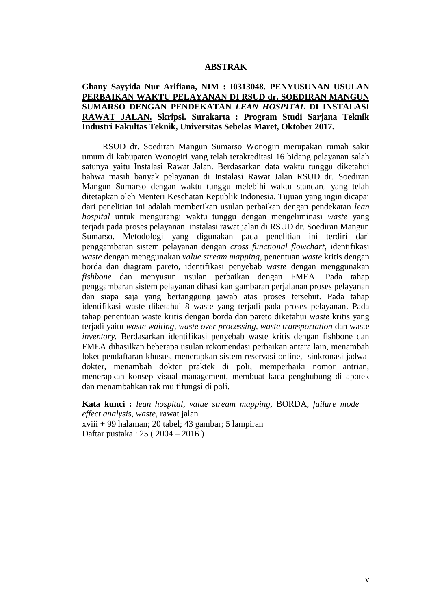## **ABSTRAK**

## **Ghany Sayyida Nur Arifiana, NIM : I0313048. PENYUSUNAN USULAN PERBAIKAN WAKTU PELAYANAN DI RSUD dr. SOEDIRAN MANGUN SUMARSO DENGAN PENDEKATAN** *LEAN HOSPITAL* **DI INSTALASI RAWAT JALAN. Skripsi. Surakarta : Program Studi Sarjana Teknik Industri Fakultas Teknik, Universitas Sebelas Maret, Oktober 2017.**

RSUD dr. Soediran Mangun Sumarso Wonogiri merupakan rumah sakit umum di kabupaten Wonogiri yang telah terakreditasi 16 bidang pelayanan salah satunya yaitu Instalasi Rawat Jalan. Berdasarkan data waktu tunggu diketahui bahwa masih banyak pelayanan di Instalasi Rawat Jalan RSUD dr. Soediran Mangun Sumarso dengan waktu tunggu melebihi waktu standard yang telah ditetapkan oleh Menteri Kesehatan Republik Indonesia. Tujuan yang ingin dicapai dari penelitian ini adalah memberikan usulan perbaikan dengan pendekatan *lean hospital* untuk mengurangi waktu tunggu dengan mengeliminasi *waste* yang terjadi pada proses pelayanan instalasi rawat jalan di RSUD dr. Soediran Mangun Sumarso. Metodologi yang digunakan pada penelitian ini terdiri dari penggambaran sistem pelayanan dengan *cross functional flowchart*, identifikasi *waste* dengan menggunakan *value stream mapping*, penentuan *waste* kritis dengan borda dan diagram pareto, identifikasi penyebab *waste* dengan menggunakan *fishbone* dan menyusun usulan perbaikan dengan FMEA. Pada tahap penggambaran sistem pelayanan dihasilkan gambaran perjalanan proses pelayanan dan siapa saja yang bertanggung jawab atas proses tersebut. Pada tahap identifikasi waste diketahui 8 waste yang terjadi pada proses pelayanan. Pada tahap penentuan waste kritis dengan borda dan pareto diketahui *waste* kritis yang terjadi yaitu *waste waiting, waste over processing, waste transportation* dan waste *inventory.* Berdasarkan identifikasi penyebab waste kritis dengan fishbone dan FMEA dihasilkan beberapa usulan rekomendasi perbaikan antara lain, menambah loket pendaftaran khusus, menerapkan sistem reservasi online, sinkronasi jadwal dokter, menambah dokter praktek di poli, memperbaiki nomor antrian, menerapkan konsep visual management, membuat kaca penghubung di apotek dan menambahkan rak multifungsi di poli.

**Kata kunci :** *lean hospital, value stream mapping,* BORDA*, failure mode effect analysis, waste,* rawat jalan xviii + 99 halaman; 20 tabel; 43 gambar; 5 lampiran Daftar pustaka : 25 ( 2004 – 2016 )